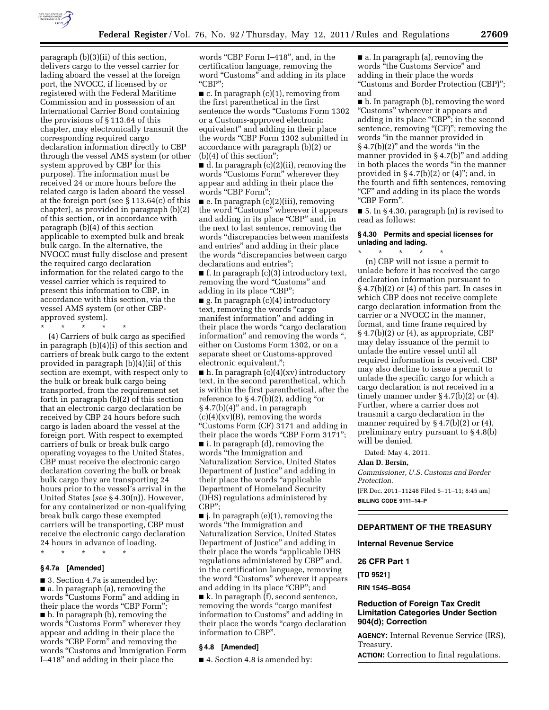

paragraph (b)(3)(ii) of this section, delivers cargo to the vessel carrier for lading aboard the vessel at the foreign port, the NVOCC, if licensed by or registered with the Federal Maritime Commission and in possession of an International Carrier Bond containing the provisions of § 113.64 of this chapter, may electronically transmit the corresponding required cargo declaration information directly to CBP through the vessel AMS system (or other system approved by CBP for this purpose). The information must be received 24 or more hours before the related cargo is laden aboard the vessel at the foreign port (see § 113.64(c) of this chapter), as provided in paragraph (b)(2) of this section, or in accordance with paragraph (b)(4) of this section applicable to exempted bulk and break bulk cargo. In the alternative, the NVOCC must fully disclose and present the required cargo declaration information for the related cargo to the vessel carrier which is required to present this information to CBP, in accordance with this section, via the vessel AMS system (or other CBPapproved system).

\* \* \* \* \*

(4) Carriers of bulk cargo as specified in paragraph (b)(4)(i) of this section and carriers of break bulk cargo to the extent provided in paragraph (b)(4)(ii) of this section are exempt, with respect only to the bulk or break bulk cargo being transported, from the requirement set forth in paragraph (b)(2) of this section that an electronic cargo declaration be received by CBP 24 hours before such cargo is laden aboard the vessel at the foreign port. With respect to exempted carriers of bulk or break bulk cargo operating voyages to the United States, CBP must receive the electronic cargo declaration covering the bulk or break bulk cargo they are transporting 24 hours prior to the vessel's arrival in the United States (*see* § 4.30(n)). However, for any containerized or non-qualifying break bulk cargo these exempted carriers will be transporting, CBP must receive the electronic cargo declaration 24 hours in advance of loading.

\* \* \* \* \*

#### **§ 4.7a [Amended]**

■ 3. Section 4.7a is amended by: ■ a. In paragraph (a), removing the words "Customs Form" and adding in their place the words "CBP Form"; ■ b. In paragraph (b), removing the words "Customs Form" wherever they appear and adding in their place the words "CBP Form" and removing the words ''Customs and Immigration Form I–418'' and adding in their place the

words ''CBP Form I–418'', and, in the certification language, removing the word "Customs" and adding in its place ''CBP'';

 $\blacksquare$  c. In paragraph (c)(1), removing from the first parenthetical in the first sentence the words "Customs Form 1302 or a Customs-approved electronic equivalent'' and adding in their place the words ''CBP Form 1302 submitted in accordance with paragraph (b)(2) or (b)(4) of this section'';

■ d. In paragraph (c)(2)(ii), removing the words "Customs Form" wherever they appear and adding in their place the words "CBP Form"

 $\blacksquare$  e. In paragraph (c)(2)(iii), removing the word ''Customs'' wherever it appears and adding in its place "CBP" and, in the next to last sentence, removing the words ''discrepancies between manifests and entries'' and adding in their place the words ''discrepancies between cargo declarations and entries'';

 $\blacksquare$  f. In paragraph (c)(3) introductory text, removing the word "Customs" and adding in its place "CBP";

 $\blacksquare$  g. In paragraph (c)(4) introductory text, removing the words "cargo manifest information'' and adding in their place the words ''cargo declaration information'' and removing the words '', either on Customs Form 1302, or on a separate sheet or Customs-approved electronic equivalent,'';

 $\blacksquare$  h. In paragraph (c)(4)(xv) introductory text, in the second parenthetical, which is within the first parenthetical, after the reference to  $\S 4.7(b)(2)$ , adding "or  $§ 4.7(b)(4)$ " and, in paragraph  $(c)(4)(x)(B)$ , removing the words ''Customs Form (CF) 3171 and adding in their place the words "CBP Form 3171"; ■ i. In paragraph (d), removing the words ''the Immigration and Naturalization Service, United States Department of Justice'' and adding in their place the words ''applicable Department of Homeland Security (DHS) regulations administered by

CBP'';  $\blacksquare$  j. In paragraph (e)(1), removing the words ''the Immigration and Naturalization Service, United States Department of Justice'' and adding in their place the words "applicable DHS regulations administered by CBP'' and, in the certification language, removing the word "Customs" wherever it appears and adding in its place "CBP"; and ■ k. In paragraph (f), second sentence, removing the words "cargo manifest information to Customs'' and adding in their place the words ''cargo declaration information to CBP''.

#### **§ 4.8 [Amended]**

■ 4. Section 4.8 is amended by:

■ a. In paragraph (a), removing the words ''the Customs Service'' and adding in their place the words ''Customs and Border Protection (CBP)''; and

■ b. In paragraph (b), removing the word ''Customs'' wherever it appears and adding in its place "CBP"; in the second sentence, removing "(CF)"; removing the words ''in the manner provided in  $§ 4.7(b)(2)$ " and the words "in the manner provided in §4.7(b)" and adding in both places the words ''in the manner provided in  $\S 4.7(b)(2)$  or  $(4)$ "; and, in the fourth and fifth sentences, removing ''CF'' and adding in its place the words ''CBP Form''.

■ 5. In § 4.30, paragraph (n) is revised to read as follows:

# **§ 4.30 Permits and special licenses for unlading and lading.**

\* \* \* \* \* (n) CBP will not issue a permit to unlade before it has received the cargo declaration information pursuant to § 4.7(b)(2) or (4) of this part. In cases in which CBP does not receive complete cargo declaration information from the carrier or a NVOCC in the manner, format, and time frame required by § 4.7(b)(2) or (4), as appropriate, CBP may delay issuance of the permit to unlade the entire vessel until all required information is received. CBP may also decline to issue a permit to unlade the specific cargo for which a cargo declaration is not received in a timely manner under § 4.7(b)(2) or (4). Further, where a carrier does not transmit a cargo declaration in the manner required by  $\S 4.7(b)(2)$  or  $(4)$ , preliminary entry pursuant to § 4.8(b) will be denied.

Dated: May 4, 2011.

#### **Alan D. Bersin,**

*Commissioner, U.S. Customs and Border Protection.* 

[FR Doc. 2011–11248 Filed 5–11–11; 8:45 am] **BILLING CODE 9111–14–P** 

### **DEPARTMENT OF THE TREASURY**

**Internal Revenue Service** 

**26 CFR Part 1** 

**[TD 9521]** 

**RIN 1545–BG54** 

### **Reduction of Foreign Tax Credit Limitation Categories Under Section 904(d); Correction**

**AGENCY:** Internal Revenue Service (IRS), Treasury.

**ACTION:** Correction to final regulations.